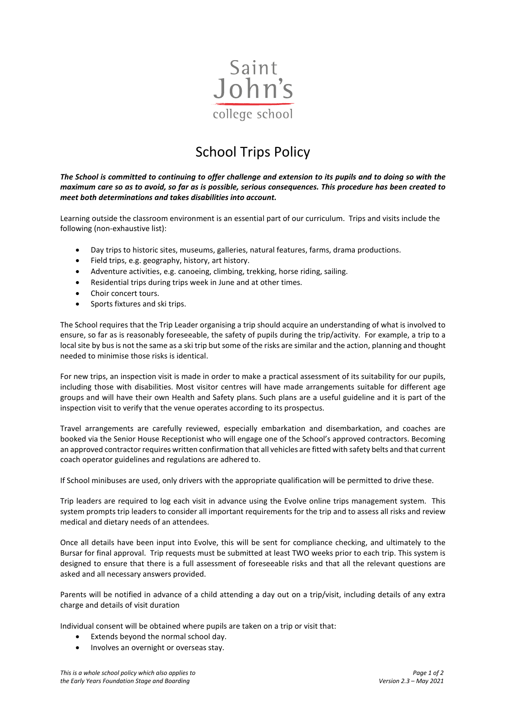

## School Trips Policy

*The School is committed to continuing to offer challenge and extension to its pupils and to doing so with the maximum care so as to avoid, so far as is possible, serious consequences. This procedure has been created to meet both determinations and takes disabilities into account.*

Learning outside the classroom environment is an essential part of our curriculum. Trips and visits include the following (non-exhaustive list):

- Day trips to historic sites, museums, galleries, natural features, farms, drama productions.
- Field trips, e.g. geography, history, art history.
- Adventure activities, e.g. canoeing, climbing, trekking, horse riding, sailing.
- Residential trips during trips week in June and at other times.
- Choir concert tours.
- Sports fixtures and ski trips.

The School requires that the Trip Leader organising a trip should acquire an understanding of what is involved to ensure, so far as is reasonably foreseeable, the safety of pupils during the trip/activity. For example, a trip to a local site by bus is not the same as a ski trip but some of the risks are similar and the action, planning and thought needed to minimise those risks is identical.

For new trips, an inspection visit is made in order to make a practical assessment of its suitability for our pupils, including those with disabilities. Most visitor centres will have made arrangements suitable for different age groups and will have their own Health and Safety plans. Such plans are a useful guideline and it is part of the inspection visit to verify that the venue operates according to its prospectus.

Travel arrangements are carefully reviewed, especially embarkation and disembarkation, and coaches are booked via the Senior House Receptionist who will engage one of the School's approved contractors. Becoming an approved contractor requires written confirmation that all vehicles are fitted with safety belts and that current coach operator guidelines and regulations are adhered to.

If School minibuses are used, only drivers with the appropriate qualification will be permitted to drive these.

Trip leaders are required to log each visit in advance using the Evolve online trips management system. This system prompts trip leaders to consider all important requirements for the trip and to assess all risks and review medical and dietary needs of an attendees.

Once all details have been input into Evolve, this will be sent for compliance checking, and ultimately to the Bursar for final approval. Trip requests must be submitted at least TWO weeks prior to each trip. This system is designed to ensure that there is a full assessment of foreseeable risks and that all the relevant questions are asked and all necessary answers provided.

Parents will be notified in advance of a child attending a day out on a trip/visit, including details of any extra charge and details of visit duration

Individual consent will be obtained where pupils are taken on a trip or visit that:

- Extends beyond the normal school day.
- Involves an overnight or overseas stay.